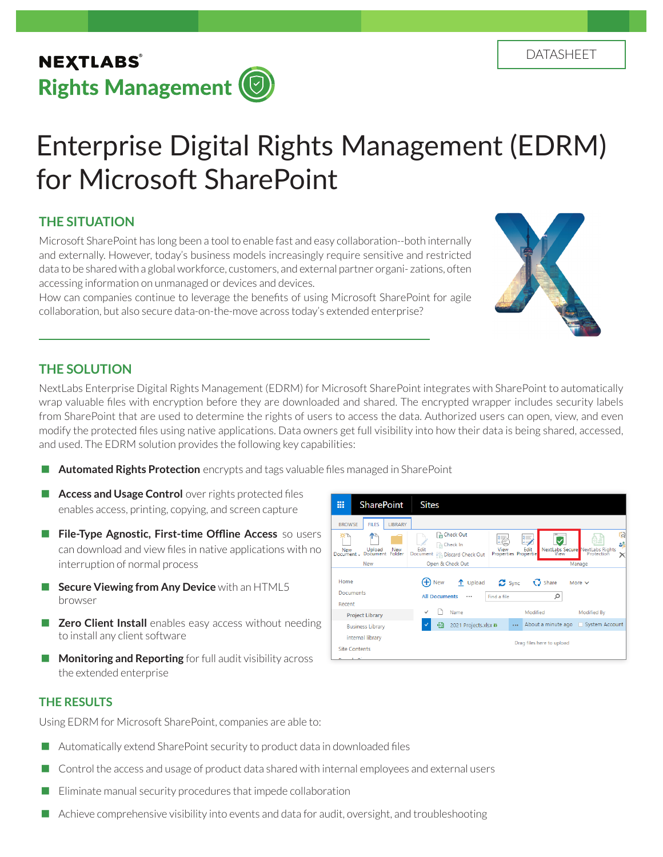# **NEXTLABS Rights Management (O**

# Enterprise Digital Rights Management (EDRM) for Microsoft SharePoint

## **THE SITUATION**

Microsoft SharePoint has long been a tool to enable fast and easy collaboration--both internally and externally. However, today's business models increasingly require sensitive and restricted data to be shared with a global workforce, customers, and external partner organi- zations, often accessing information on unmanaged or devices and devices.

How can companies continue to leverage the benefits of using Microsoft SharePoint for agile collaboration, but also secure data-on-the-move across today's extended enterprise?



### **THE SOLUTION**

NextLabs Enterprise Digital Rights Management (EDRM) for Microsoft SharePoint integrates with SharePoint to automatically wrap valuable files with encryption before they are downloaded and shared. The encrypted wrapper includes security labels from SharePoint that are used to determine the rights of users to access the data. Authorized users can open, view, and even modify the protected files using native applications. Data owners get full visibility into how their data is being shared, accessed, and used. The EDRM solution provides the following key capabilities:

- **Automated Rights Protection** encrypts and tags valuable files managed in SharePoint
- **Access and Usage Control** over rights protected files enables access, printing, copying, and screen capture
- **File-Type Agnostic, First-time Offline Access** so users can download and view files in native applications with no interruption of normal process
- **Secure Viewing from Any Device** with an HTML5 browser
- **Zero Client Install** enables easy access without needing to install any client software
- **Monitoring and Reporting** for full audit visibility across the extended enterprise



#### **THE RESULTS**

Using EDRM for Microsoft SharePoint, companies are able to:

- Automatically extend SharePoint security to product data in downloaded files
- Control the access and usage of product data shared with internal employees and external users
- Eliminate manual security procedures that impede collaboration
- Achieve comprehensive visibility into events and data for audit, oversight, and troubleshooting